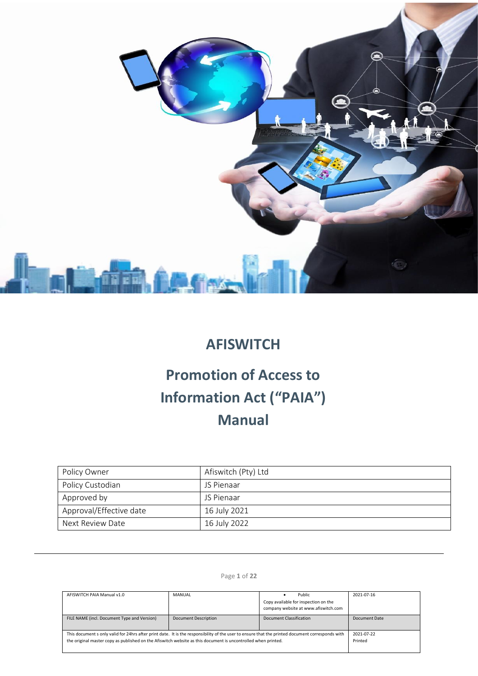

# **AFISWITCH**

# **Promotion of Access to Information Act ("PAIA") Manual**

| Policy Owner            | Afiswitch (Pty) Ltd |
|-------------------------|---------------------|
| Policy Custodian        | JS Pienaar          |
| Approved by             | JS Pienaar          |
| Approval/Effective date | 16 July 2021        |
| Next Review Date        | 16 July 2022        |

# Page **1** of **22**

| AFISWITCH PAIA Manual v1.0                                                                                                                       | MANUAL                      | Public                               | 2021-07-16    |
|--------------------------------------------------------------------------------------------------------------------------------------------------|-----------------------------|--------------------------------------|---------------|
|                                                                                                                                                  |                             | Copy available for inspection on the |               |
|                                                                                                                                                  |                             | company website at www.afiswitch.com |               |
| FILE NAME (incl. Document Type and Version)                                                                                                      | <b>Document Description</b> | <b>Document Classification</b>       | Document Date |
| This document s only valid for 24hrs after print date. It is the responsibility of the user to ensure that the printed document corresponds with |                             |                                      | 2021-07-22    |
| the original master copy as published on the Afiswitch website as this document is uncontrolled when printed.                                    |                             |                                      | Printed       |
|                                                                                                                                                  |                             |                                      |               |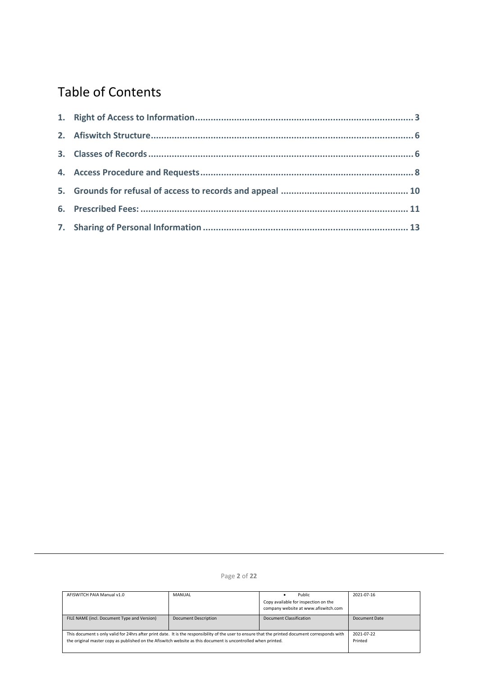# Table of Contents

# Page **2** of **22**

| AFISWITCH PAIA Manual v1.0                                                                                                                       | MANUAL                      | Public                               | 2021-07-16    |
|--------------------------------------------------------------------------------------------------------------------------------------------------|-----------------------------|--------------------------------------|---------------|
|                                                                                                                                                  |                             | Copy available for inspection on the |               |
|                                                                                                                                                  |                             | company website at www.afiswitch.com |               |
| FILE NAME (incl. Document Type and Version)                                                                                                      | <b>Document Description</b> | Document Classification              | Document Date |
| This document s only valid for 24hrs after print date. It is the responsibility of the user to ensure that the printed document corresponds with |                             |                                      | 2021-07-22    |
| the original master copy as published on the Afiswitch website as this document is uncontrolled when printed.                                    |                             |                                      | Printed       |
|                                                                                                                                                  |                             |                                      |               |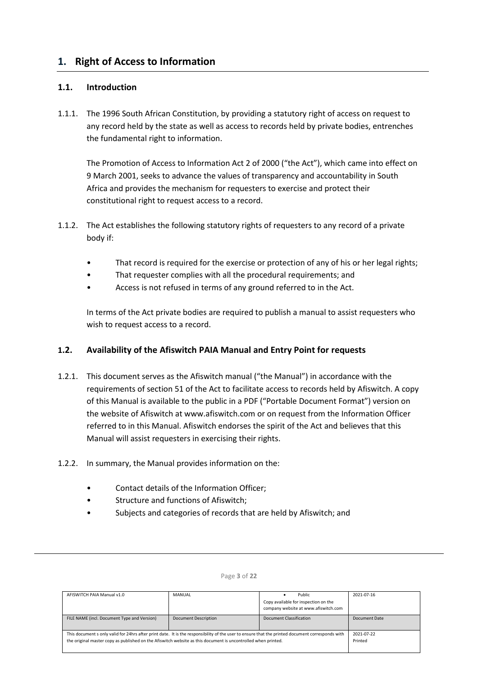# <span id="page-2-0"></span>**1. Right of Access to Information**

# **1.1. Introduction**

1.1.1. The 1996 South African Constitution, by providing a statutory right of access on request to any record held by the state as well as access to records held by private bodies, entrenches the fundamental right to information.

The Promotion of Access to Information Act 2 of 2000 ("the Act"), which came into effect on 9 March 2001, seeks to advance the values of transparency and accountability in South Africa and provides the mechanism for requesters to exercise and protect their constitutional right to request access to a record.

- 1.1.2. The Act establishes the following statutory rights of requesters to any record of a private body if:
	- That record is required for the exercise or protection of any of his or her legal rights;
	- That requester complies with all the procedural requirements; and
	- Access is not refused in terms of any ground referred to in the Act.

In terms of the Act private bodies are required to publish a manual to assist requesters who wish to request access to a record.

# **1.2. Availability of the Afiswitch PAIA Manual and Entry Point for requests**

- 1.2.1. This document serves as the Afiswitch manual ("the Manual") in accordance with the requirements of section 51 of the Act to facilitate access to records held by Afiswitch. A copy of this Manual is available to the public in a PDF ("Portable Document Format") version on the website of Afiswitch at www.afiswitch.com or on request from the Information Officer referred to in this Manual. Afiswitch endorses the spirit of the Act and believes that this Manual will assist requesters in exercising their rights.
- 1.2.2. In summary, the Manual provides information on the:
	- Contact details of the Information Officer;
	- Structure and functions of Afiswitch;
	- Subjects and categories of records that are held by Afiswitch; and

| AFISWITCH PAIA Manual v1.0                                                                                                                                                                                                                                        | <b>MANUAL</b>               | Public<br>Copy available for inspection on the<br>company website at www.afiswitch.com | 2021-07-16            |
|-------------------------------------------------------------------------------------------------------------------------------------------------------------------------------------------------------------------------------------------------------------------|-----------------------------|----------------------------------------------------------------------------------------|-----------------------|
| FILE NAME (incl. Document Type and Version)                                                                                                                                                                                                                       | <b>Document Description</b> | Document Classification                                                                | Document Date         |
| This document s only valid for 24hrs after print date. It is the responsibility of the user to ensure that the printed document corresponds with<br>the original master copy as published on the Afiswitch website as this document is uncontrolled when printed. |                             |                                                                                        | 2021-07-22<br>Printed |

#### Page **3** of **22**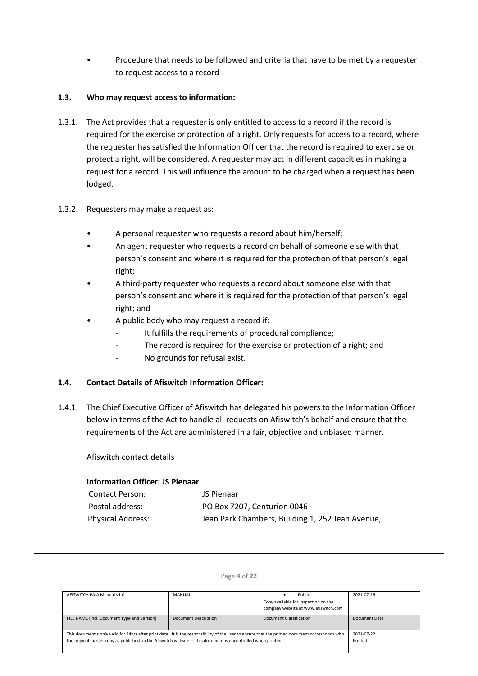• Procedure that needs to be followed and criteria that have to be met by a requester to request access to a record

# **1.3. Who may request access to information:**

- 1.3.1. The Act provides that a requester is only entitled to access to a record if the record is required for the exercise or protection of a right. Only requests for access to a record, where the requester has satisfied the Information Officer that the record is required to exercise or protect a right, will be considered. A requester may act in different capacities in making a request for a record. This will influence the amount to be charged when a request has been lodged.
- 1.3.2. Requesters may make a request as:
	- A personal requester who requests a record about him/herself;
	- An agent requester who requests a record on behalf of someone else with that person's consent and where it is required for the protection of that person's legal right;
	- A third-party requester who requests a record about someone else with that person's consent and where it is required for the protection of that person's legal right; and
	- A public body who may request a record if:
		- It fulfills the requirements of procedural compliance;
		- The record is required for the exercise or protection of a right; and
		- No grounds for refusal exist.

### **1.4. Contact Details of Afiswitch Information Officer:**

1.4.1. The Chief Executive Officer of Afiswitch has delegated his powers to the Information Officer below in terms of the Act to handle all requests on Afiswitch's behalf and ensure that the requirements of the Act are administered in a fair, objective and unbiased manner.

Afiswitch contact details

## **Information Officer: JS Pienaar**

| <b>Contact Person:</b>   | JS Pienaar                                       |
|--------------------------|--------------------------------------------------|
| Postal address:          | PO Box 7207, Centurion 0046                      |
| <b>Physical Address:</b> | Jean Park Chambers, Building 1, 252 Jean Avenue, |

| AFISWITCH PAIA Manual v1.0                                                                                                                                                                                                                                        | MANUAL                      | Public<br>Copy available for inspection on the<br>company website at www.afiswitch.com | 2021-07-16            |
|-------------------------------------------------------------------------------------------------------------------------------------------------------------------------------------------------------------------------------------------------------------------|-----------------------------|----------------------------------------------------------------------------------------|-----------------------|
| FILE NAME (incl. Document Type and Version)                                                                                                                                                                                                                       | <b>Document Description</b> | Document Classification                                                                | Document Date         |
| This document s only valid for 24hrs after print date. It is the responsibility of the user to ensure that the printed document corresponds with<br>the original master copy as published on the Afiswitch website as this document is uncontrolled when printed. |                             |                                                                                        | 2021-07-22<br>Printed |

#### Page **4** of **22**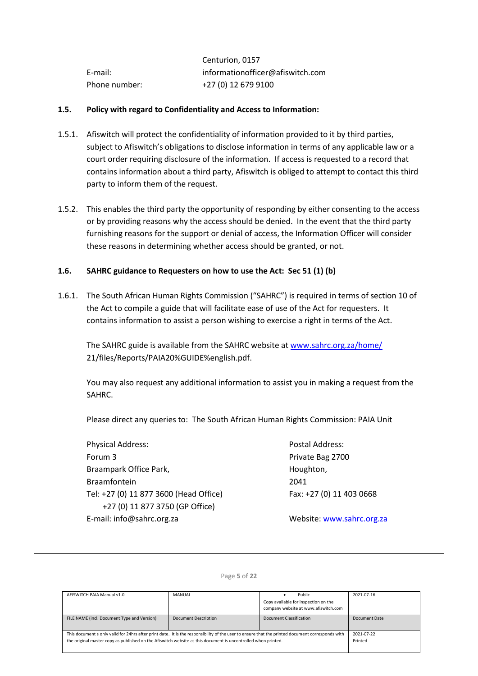|               | Centurion, 0157                  |
|---------------|----------------------------------|
| E-mail:       | informationofficer@afiswitch.com |
| Phone number: | +27 (0) 12 679 9100              |

## **1.5. Policy with regard to Confidentiality and Access to Information:**

- 1.5.1. Afiswitch will protect the confidentiality of information provided to it by third parties, subject to Afiswitch's obligations to disclose information in terms of any applicable law or a court order requiring disclosure of the information. If access is requested to a record that contains information about a third party, Afiswitch is obliged to attempt to contact this third party to inform them of the request.
- 1.5.2. This enables the third party the opportunity of responding by either consenting to the access or by providing reasons why the access should be denied. In the event that the third party furnishing reasons for the support or denial of access, the Information Officer will consider these reasons in determining whether access should be granted, or not.

# **1.6. SAHRC guidance to Requesters on how to use the Act: Sec 51 (1) (b)**

1.6.1. The South African Human Rights Commission ("SAHRC") is required in terms of section 10 of the Act to compile a guide that will facilitate ease of use of the Act for requesters. It contains information to assist a person wishing to exercise a right in terms of the Act.

The SAHRC guide is available from the SAHRC website a[t www.sahrc.org.za/home/](http://www.sahrc.org.za/home/) 21/files/Reports/PAIA20%GUIDE%english.pdf.

You may also request any additional information to assist you in making a request from the SAHRC.

Please direct any queries to: The South African Human Rights Commission: PAIA Unit

Physical Address: Postal Address: Forum 3 **Private Bag 2700** Braampark Office Park, The Contract of the Houghton, Braamfontein 2041 Tel: +27 (0) 11 877 3600 (Head Office) Fax: +27 (0) 11 403 0668 +27 (0) 11 877 3750 (GP Office) E-mail: info@sahrc.org.za Website[: www.sahrc.org.za](http://www.sahrc.org.za/)

| AFISWITCH PAIA Manual v1.0                                                                                                                       | MANUAL                      | Public                               | 2021-07-16    |
|--------------------------------------------------------------------------------------------------------------------------------------------------|-----------------------------|--------------------------------------|---------------|
|                                                                                                                                                  |                             | Copy available for inspection on the |               |
|                                                                                                                                                  |                             | company website at www.afiswitch.com |               |
| FILE NAME (incl. Document Type and Version)                                                                                                      | <b>Document Description</b> | Document Classification              | Document Date |
|                                                                                                                                                  |                             |                                      |               |
| This document s only valid for 24hrs after print date. It is the responsibility of the user to ensure that the printed document corresponds with |                             |                                      | 2021-07-22    |
| the original master copy as published on the Afiswitch website as this document is uncontrolled when printed.                                    |                             |                                      | Printed       |
|                                                                                                                                                  |                             |                                      |               |

#### Page **5** of **22**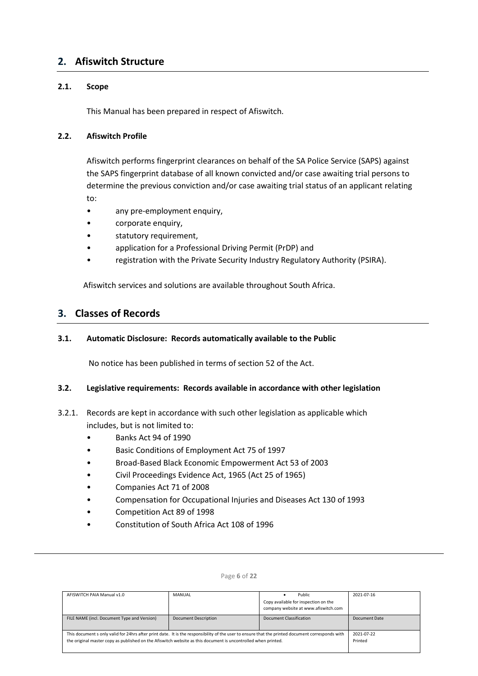# <span id="page-5-0"></span>**2. Afiswitch Structure**

# **2.1. Scope**

This Manual has been prepared in respect of Afiswitch.

# **2.2. Afiswitch Profile**

Afiswitch performs fingerprint clearances on behalf of the SA Police Service (SAPS) against the SAPS fingerprint database of all known convicted and/or case awaiting trial persons to determine the previous conviction and/or case awaiting trial status of an applicant relating to:

- any pre-employment enquiry,
- corporate enquiry,
- statutory requirement,
- application for a Professional Driving Permit (PrDP) and
- registration with the Private Security Industry Regulatory Authority (PSIRA).

Afiswitch services and solutions are available throughout South Africa.

# <span id="page-5-1"></span>**3. Classes of Records**

# **3.1. Automatic Disclosure: Records automatically available to the Public**

No notice has been published in terms of section 52 of the Act.

### **3.2. Legislative requirements: Records available in accordance with other legislation**

# 3.2.1. Records are kept in accordance with such other legislation as applicable which includes, but is not limited to:

- Banks Act 94 of 1990
- Basic Conditions of Employment Act 75 of 1997
- Broad-Based Black Economic Empowerment Act 53 of 2003
- Civil Proceedings Evidence Act, 1965 (Act 25 of 1965)
- Companies Act 71 of 2008
- Compensation for Occupational Injuries and Diseases Act 130 of 1993
- Competition Act 89 of 1998
- Constitution of South Africa Act 108 of 1996

| AFISWITCH PAIA Manual v1.0                                                                                                                       | <b>MANUAL</b>        | Public                               | 2021-07-16    |
|--------------------------------------------------------------------------------------------------------------------------------------------------|----------------------|--------------------------------------|---------------|
|                                                                                                                                                  |                      | Copy available for inspection on the |               |
|                                                                                                                                                  |                      | company website at www.afiswitch.com |               |
| FILE NAME (incl. Document Type and Version)                                                                                                      | Document Description | Document Classification              | Document Date |
| This document s only valid for 24hrs after print date. It is the responsibility of the user to ensure that the printed document corresponds with |                      |                                      | 2021-07-22    |
| the original master copy as published on the Afiswitch website as this document is uncontrolled when printed.                                    |                      |                                      | Printed       |
|                                                                                                                                                  |                      |                                      |               |

#### Page **6** of **22**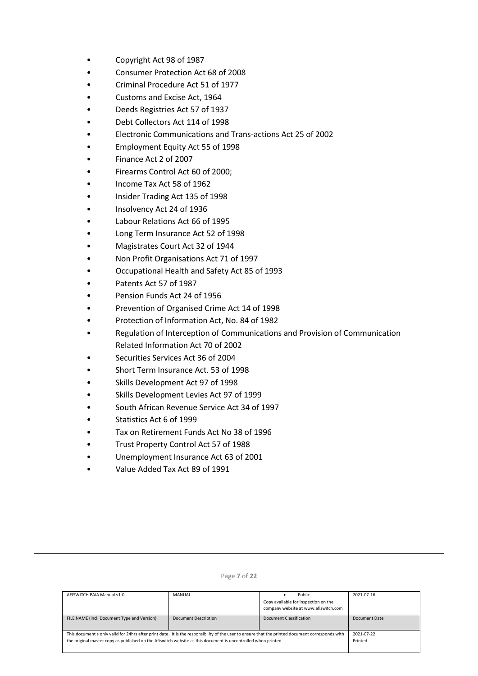- Copyright Act 98 of 1987
- Consumer Protection Act 68 of 2008
- Criminal Procedure Act 51 of 1977
- Customs and Excise Act, 1964
- Deeds Registries Act 57 of 1937
- Debt Collectors Act 114 of 1998
- Electronic Communications and Trans-actions Act 25 of 2002
- Employment Equity Act 55 of 1998
- Finance Act 2 of 2007
- Firearms Control Act 60 of 2000;
- Income Tax Act 58 of 1962
- Insider Trading Act 135 of 1998
- Insolvency Act 24 of 1936
- Labour Relations Act 66 of 1995
- Long Term Insurance Act 52 of 1998
- Magistrates Court Act 32 of 1944
- Non Profit Organisations Act 71 of 1997
- Occupational Health and Safety Act 85 of 1993
- Patents Act 57 of 1987
- Pension Funds Act 24 of 1956
- Prevention of Organised Crime Act 14 of 1998
- Protection of Information Act, No. 84 of 1982
- Regulation of Interception of Communications and Provision of Communication Related Information Act 70 of 2002
- Securities Services Act 36 of 2004
- Short Term Insurance Act. 53 of 1998
- Skills Development Act 97 of 1998
- Skills Development Levies Act 97 of 1999
- South African Revenue Service Act 34 of 1997
- Statistics Act 6 of 1999
- Tax on Retirement Funds Act No 38 of 1996
- Trust Property Control Act 57 of 1988
- Unemployment Insurance Act 63 of 2001
- Value Added Tax Act 89 of 1991

| AFISWITCH PAIA Manual v1.0                                                                                                                       | MANUAL                      | Public                                                                       | 2021-07-16    |
|--------------------------------------------------------------------------------------------------------------------------------------------------|-----------------------------|------------------------------------------------------------------------------|---------------|
|                                                                                                                                                  |                             | Copy available for inspection on the<br>company website at www.afiswitch.com |               |
|                                                                                                                                                  |                             |                                                                              |               |
| FILE NAME (incl. Document Type and Version)                                                                                                      | <b>Document Description</b> | Document Classification                                                      | Document Date |
|                                                                                                                                                  |                             |                                                                              |               |
| This document s only valid for 24hrs after print date. It is the responsibility of the user to ensure that the printed document corresponds with |                             |                                                                              | 2021-07-22    |
| the original master copy as published on the Afiswitch website as this document is uncontrolled when printed.                                    |                             |                                                                              | Printed       |
|                                                                                                                                                  |                             |                                                                              |               |

#### Page **7** of **22**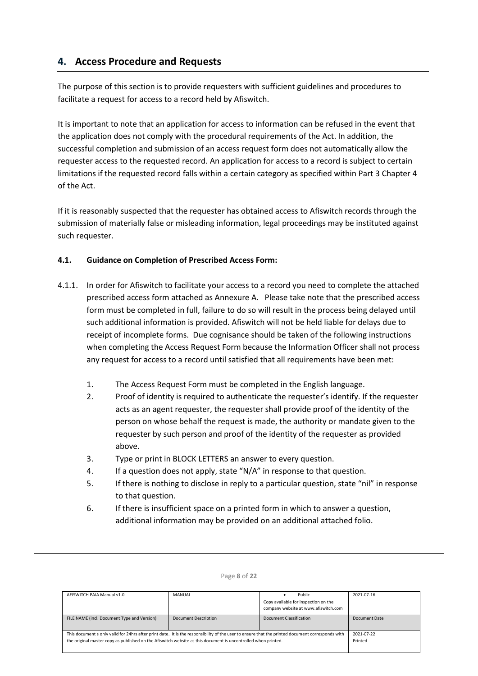# <span id="page-7-0"></span>**4. Access Procedure and Requests**

The purpose of this section is to provide requesters with sufficient guidelines and procedures to facilitate a request for access to a record held by Afiswitch.

It is important to note that an application for access to information can be refused in the event that the application does not comply with the procedural requirements of the Act. In addition, the successful completion and submission of an access request form does not automatically allow the requester access to the requested record. An application for access to a record is subject to certain limitations if the requested record falls within a certain category as specified within Part 3 Chapter 4 of the Act.

If it is reasonably suspected that the requester has obtained access to Afiswitch records through the submission of materially false or misleading information, legal proceedings may be instituted against such requester.

# **4.1. Guidance on Completion of Prescribed Access Form:**

- 4.1.1. In order for Afiswitch to facilitate your access to a record you need to complete the attached prescribed access form attached as Annexure A. Please take note that the prescribed access form must be completed in full, failure to do so will result in the process being delayed until such additional information is provided. Afiswitch will not be held liable for delays due to receipt of incomplete forms. Due cognisance should be taken of the following instructions when completing the Access Request Form because the Information Officer shall not process any request for access to a record until satisfied that all requirements have been met:
	- 1. The Access Request Form must be completed in the English language.
	- 2. Proof of identity is required to authenticate the requester's identify. If the requester acts as an agent requester, the requester shall provide proof of the identity of the person on whose behalf the request is made, the authority or mandate given to the requester by such person and proof of the identity of the requester as provided above.
	- 3. Type or print in BLOCK LETTERS an answer to every question.
	- 4. If a question does not apply, state "N/A" in response to that question.
	- 5. If there is nothing to disclose in reply to a particular question, state "nil" in response to that question.
	- 6. If there is insufficient space on a printed form in which to answer a question, additional information may be provided on an additional attached folio.

| AFISWITCH PAIA Manual v1.0                                                                                                                                                                                                                                        | MANUAL                      | Public<br>Copy available for inspection on the<br>company website at www.afiswitch.com | 2021-07-16            |
|-------------------------------------------------------------------------------------------------------------------------------------------------------------------------------------------------------------------------------------------------------------------|-----------------------------|----------------------------------------------------------------------------------------|-----------------------|
| FILE NAME (incl. Document Type and Version)                                                                                                                                                                                                                       | <b>Document Description</b> | Document Classification                                                                | Document Date         |
| This document s only valid for 24hrs after print date. It is the responsibility of the user to ensure that the printed document corresponds with<br>the original master copy as published on the Afiswitch website as this document is uncontrolled when printed. |                             |                                                                                        | 2021-07-22<br>Printed |

#### Page **8** of **22**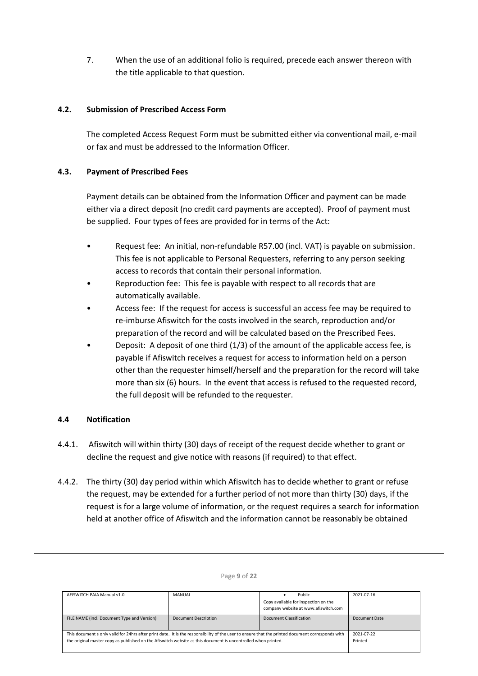7. When the use of an additional folio is required, precede each answer thereon with the title applicable to that question.

# **4.2. Submission of Prescribed Access Form**

The completed Access Request Form must be submitted either via conventional mail, e-mail or fax and must be addressed to the Information Officer.

# **4.3. Payment of Prescribed Fees**

Payment details can be obtained from the Information Officer and payment can be made either via a direct deposit (no credit card payments are accepted). Proof of payment must be supplied. Four types of fees are provided for in terms of the Act:

- Request fee: An initial, non-refundable R57.00 (incl. VAT) is payable on submission. This fee is not applicable to Personal Requesters, referring to any person seeking access to records that contain their personal information.
- Reproduction fee: This fee is payable with respect to all records that are automatically available.
- Access fee: If the request for access is successful an access fee may be required to re-imburse Afiswitch for the costs involved in the search, reproduction and/or preparation of the record and will be calculated based on the Prescribed Fees.
- Deposit: A deposit of one third  $(1/3)$  of the amount of the applicable access fee, is payable if Afiswitch receives a request for access to information held on a person other than the requester himself/herself and the preparation for the record will take more than six (6) hours. In the event that access is refused to the requested record, the full deposit will be refunded to the requester.

# **4.4 Notification**

- 4.4.1. Afiswitch will within thirty (30) days of receipt of the request decide whether to grant or decline the request and give notice with reasons (if required) to that effect.
- 4.4.2. The thirty (30) day period within which Afiswitch has to decide whether to grant or refuse the request, may be extended for a further period of not more than thirty (30) days, if the request is for a large volume of information, or the request requires a search for information held at another office of Afiswitch and the information cannot be reasonably be obtained

| AFISWITCH PAIA Manual v1.0                                                                                                                       | MANUAL                      | Public                               | 2021-07-16    |
|--------------------------------------------------------------------------------------------------------------------------------------------------|-----------------------------|--------------------------------------|---------------|
|                                                                                                                                                  |                             | Copy available for inspection on the |               |
|                                                                                                                                                  |                             | company website at www.afiswitch.com |               |
| FILE NAME (incl. Document Type and Version)                                                                                                      | <b>Document Description</b> | Document Classification              | Document Date |
|                                                                                                                                                  |                             |                                      |               |
| This document s only valid for 24hrs after print date. It is the responsibility of the user to ensure that the printed document corresponds with |                             |                                      | 2021-07-22    |
| the original master copy as published on the Afiswitch website as this document is uncontrolled when printed.                                    |                             |                                      | Printed       |
|                                                                                                                                                  |                             |                                      |               |

#### Page **9** of **22**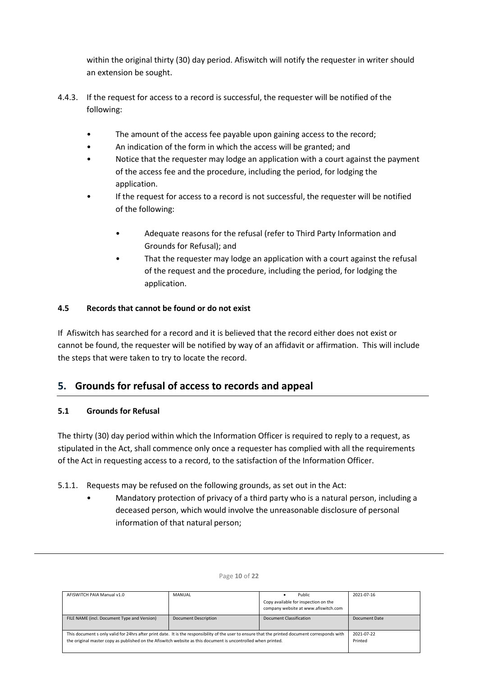within the original thirty (30) day period. Afiswitch will notify the requester in writer should an extension be sought.

- 4.4.3. If the request for access to a record is successful, the requester will be notified of the following:
	- The amount of the access fee payable upon gaining access to the record;
	- An indication of the form in which the access will be granted; and
	- Notice that the requester may lodge an application with a court against the payment of the access fee and the procedure, including the period, for lodging the application.
	- If the request for access to a record is not successful, the requester will be notified of the following:
		- Adequate reasons for the refusal (refer to Third Party Information and Grounds for Refusal); and
		- That the requester may lodge an application with a court against the refusal of the request and the procedure, including the period, for lodging the application.

# **4.5 Records that cannot be found or do not exist**

If Afiswitch has searched for a record and it is believed that the record either does not exist or cannot be found, the requester will be notified by way of an affidavit or affirmation. This will include the steps that were taken to try to locate the record.

# <span id="page-9-0"></span>**5. Grounds for refusal of access to records and appeal**

# **5.1 Grounds for Refusal**

The thirty (30) day period within which the Information Officer is required to reply to a request, as stipulated in the Act, shall commence only once a requester has complied with all the requirements of the Act in requesting access to a record, to the satisfaction of the Information Officer.

# 5.1.1. Requests may be refused on the following grounds, as set out in the Act:

• Mandatory protection of privacy of a third party who is a natural person, including a deceased person, which would involve the unreasonable disclosure of personal information of that natural person;

| AFISWITCH PAIA Manual v1.0                  | MANUAL                                                                                                                                                                                                                                                            | Public<br>Copy available for inspection on the<br>company website at www.afiswitch.com | 2021-07-16    |
|---------------------------------------------|-------------------------------------------------------------------------------------------------------------------------------------------------------------------------------------------------------------------------------------------------------------------|----------------------------------------------------------------------------------------|---------------|
| FILE NAME (incl. Document Type and Version) | <b>Document Description</b>                                                                                                                                                                                                                                       | Document Classification                                                                | Document Date |
|                                             | This document s only valid for 24hrs after print date. It is the responsibility of the user to ensure that the printed document corresponds with<br>the original master copy as published on the Afiswitch website as this document is uncontrolled when printed. |                                                                                        |               |

#### Page **10** of **22**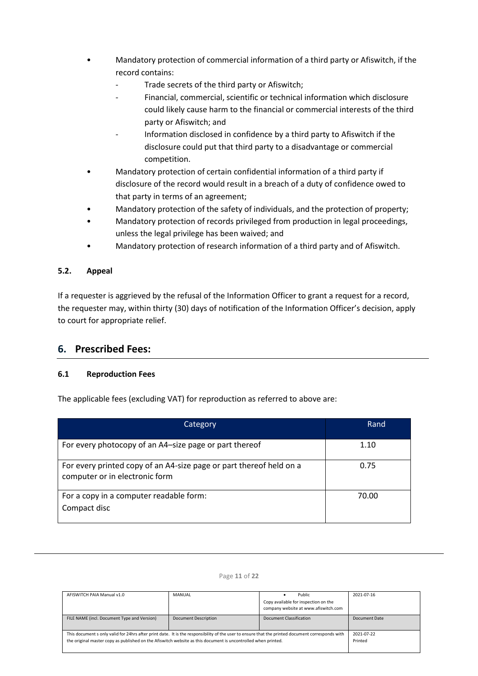- Mandatory protection of commercial information of a third party or Afiswitch, if the record contains:
	- Trade secrets of the third party or Afiswitch;
	- Financial, commercial, scientific or technical information which disclosure could likely cause harm to the financial or commercial interests of the third party or Afiswitch; and
	- Information disclosed in confidence by a third party to Afiswitch if the disclosure could put that third party to a disadvantage or commercial competition.
- Mandatory protection of certain confidential information of a third party if disclosure of the record would result in a breach of a duty of confidence owed to that party in terms of an agreement;
- Mandatory protection of the safety of individuals, and the protection of property;
- Mandatory protection of records privileged from production in legal proceedings, unless the legal privilege has been waived; and
- Mandatory protection of research information of a third party and of Afiswitch.

# **5.2. Appeal**

If a requester is aggrieved by the refusal of the Information Officer to grant a request for a record, the requester may, within thirty (30) days of notification of the Information Officer's decision, apply to court for appropriate relief.

# <span id="page-10-0"></span>**6. Prescribed Fees:**

# **6.1 Reproduction Fees**

The applicable fees (excluding VAT) for reproduction as referred to above are:

| Category                                                                                              | Rand  |
|-------------------------------------------------------------------------------------------------------|-------|
| For every photocopy of an A4-size page or part thereof                                                | 1.10  |
| For every printed copy of an A4-size page or part thereof held on a<br>computer or in electronic form | 0.75  |
| For a copy in a computer readable form:<br>Compact disc                                               | 70.00 |

| AFISWITCH PAIA Manual v1.0                                                                                                                                                                                                                                        | MANUAL                      | Public<br>Copy available for inspection on the<br>company website at www.afiswitch.com | 2021-07-16            |
|-------------------------------------------------------------------------------------------------------------------------------------------------------------------------------------------------------------------------------------------------------------------|-----------------------------|----------------------------------------------------------------------------------------|-----------------------|
| FILE NAME (incl. Document Type and Version)                                                                                                                                                                                                                       | <b>Document Description</b> | Document Classification                                                                | Document Date         |
| This document s only valid for 24hrs after print date. It is the responsibility of the user to ensure that the printed document corresponds with<br>the original master copy as published on the Afiswitch website as this document is uncontrolled when printed. |                             |                                                                                        | 2021-07-22<br>Printed |

#### Page **11** of **22**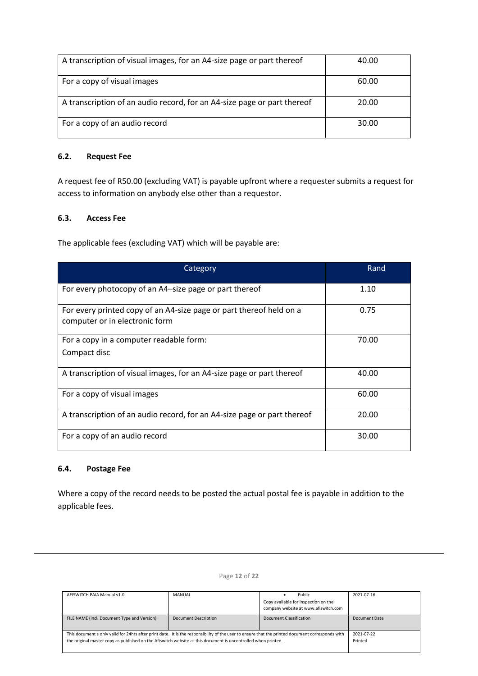| A transcription of visual images, for an A4-size page or part thereof   | 40.00 |
|-------------------------------------------------------------------------|-------|
| For a copy of visual images                                             | 60.00 |
| A transcription of an audio record, for an A4-size page or part thereof | 20.00 |
| For a copy of an audio record                                           | 30.00 |

# **6.2. Request Fee**

A request fee of R50.00 (excluding VAT) is payable upfront where a requester submits a request for access to information on anybody else other than a requestor.

# **6.3. Access Fee**

The applicable fees (excluding VAT) which will be payable are:

| Category                                                                                              | Rand  |
|-------------------------------------------------------------------------------------------------------|-------|
| For every photocopy of an A4-size page or part thereof                                                | 1.10  |
| For every printed copy of an A4-size page or part thereof held on a<br>computer or in electronic form | 0.75  |
| For a copy in a computer readable form:                                                               | 70.00 |
| Compact disc                                                                                          |       |
| A transcription of visual images, for an A4-size page or part thereof                                 | 40.00 |
| For a copy of visual images                                                                           | 60.00 |
| A transcription of an audio record, for an A4-size page or part thereof                               | 20.00 |
| For a copy of an audio record                                                                         | 30.00 |

### **6.4. Postage Fee**

Where a copy of the record needs to be posted the actual postal fee is payable in addition to the applicable fees.

| AFISWITCH PAIA Manual v1.0                                                                                                                       | <b>MANUAL</b>        | Public                                                                       | 2021-07-16    |
|--------------------------------------------------------------------------------------------------------------------------------------------------|----------------------|------------------------------------------------------------------------------|---------------|
|                                                                                                                                                  |                      | Copy available for inspection on the<br>company website at www.afiswitch.com |               |
|                                                                                                                                                  |                      |                                                                              |               |
| FILE NAME (incl. Document Type and Version)                                                                                                      | Document Description | Document Classification                                                      | Document Date |
|                                                                                                                                                  |                      |                                                                              |               |
| This document s only valid for 24hrs after print date. It is the responsibility of the user to ensure that the printed document corresponds with |                      |                                                                              | 2021-07-22    |
| the original master copy as published on the Afiswitch website as this document is uncontrolled when printed.                                    |                      |                                                                              | Printed       |
|                                                                                                                                                  |                      |                                                                              |               |

Page **12** of **22**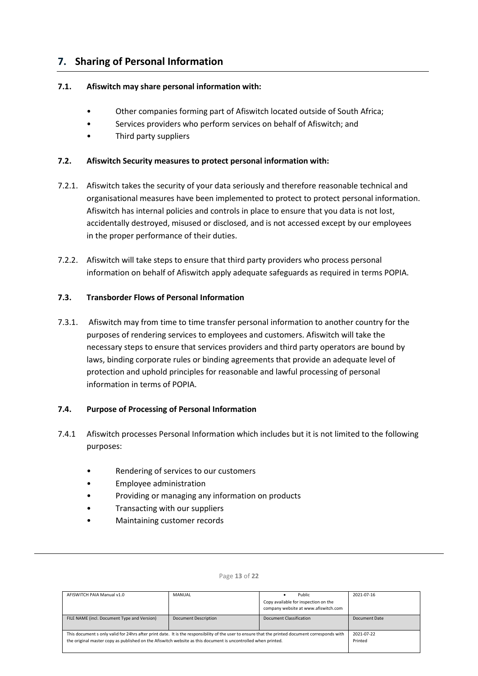# <span id="page-12-0"></span>**7. Sharing of Personal Information**

# **7.1. Afiswitch may share personal information with:**

- Other companies forming part of Afiswitch located outside of South Africa;
- Services providers who perform services on behalf of Afiswitch; and
- Third party suppliers

# **7.2. Afiswitch Security measures to protect personal information with:**

- 7.2.1. Afiswitch takes the security of your data seriously and therefore reasonable technical and organisational measures have been implemented to protect to protect personal information. Afiswitch has internal policies and controls in place to ensure that you data is not lost, accidentally destroyed, misused or disclosed, and is not accessed except by our employees in the proper performance of their duties.
- 7.2.2. Afiswitch will take steps to ensure that third party providers who process personal information on behalf of Afiswitch apply adequate safeguards as required in terms POPIA.

# **7.3. Transborder Flows of Personal Information**

7.3.1. Afiswitch may from time to time transfer personal information to another country for the purposes of rendering services to employees and customers. Afiswitch will take the necessary steps to ensure that services providers and third party operators are bound by laws, binding corporate rules or binding agreements that provide an adequate level of protection and uphold principles for reasonable and lawful processing of personal information in terms of POPIA.

# **7.4. Purpose of Processing of Personal Information**

- 7.4.1 Afiswitch processes Personal Information which includes but it is not limited to the following purposes:
	- Rendering of services to our customers
	- Employee administration
	- Providing or managing any information on products
	- Transacting with our suppliers
	- Maintaining customer records

| AFISWITCH PAIA Manual v1.0                                                                                                                       | MANUAL               | Public                               | 2021-07-16    |
|--------------------------------------------------------------------------------------------------------------------------------------------------|----------------------|--------------------------------------|---------------|
|                                                                                                                                                  |                      | Copy available for inspection on the |               |
|                                                                                                                                                  |                      | company website at www.afiswitch.com |               |
| FILE NAME (incl. Document Type and Version)                                                                                                      | Document Description | Document Classification              | Document Date |
| This document s only valid for 24hrs after print date. It is the responsibility of the user to ensure that the printed document corresponds with |                      |                                      | 2021-07-22    |
| the original master copy as published on the Afiswitch website as this document is uncontrolled when printed.                                    |                      |                                      | Printed       |
|                                                                                                                                                  |                      |                                      |               |

#### Page **13** of **22**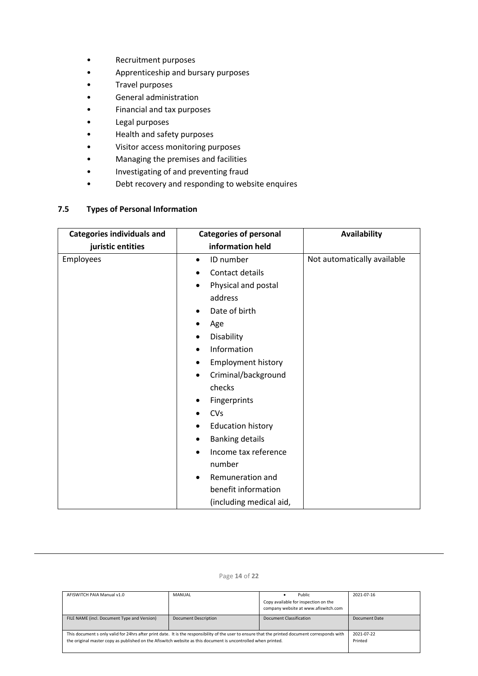- Recruitment purposes
- Apprenticeship and bursary purposes
- Travel purposes
- General administration
- Financial and tax purposes
- Legal purposes
- Health and safety purposes
- Visitor access monitoring purposes
- Managing the premises and facilities
- Investigating of and preventing fraud
- Debt recovery and responding to website enquires

# **7.5 Types of Personal Information**

| <b>Categories individuals and</b> | <b>Categories of personal</b>     | <b>Availability</b>         |
|-----------------------------------|-----------------------------------|-----------------------------|
| juristic entities                 | information held                  |                             |
| Employees                         | ID number<br>$\bullet$            | Not automatically available |
|                                   | Contact details                   |                             |
|                                   | Physical and postal<br>$\bullet$  |                             |
|                                   | address                           |                             |
|                                   | Date of birth<br>٠                |                             |
|                                   | Age<br>٠                          |                             |
|                                   | Disability<br>٠                   |                             |
|                                   | Information<br>٠                  |                             |
|                                   | <b>Employment history</b><br>٠    |                             |
|                                   | Criminal/background<br>٠          |                             |
|                                   | checks                            |                             |
|                                   | Fingerprints<br>٠                 |                             |
|                                   | <b>CVs</b><br>$\bullet$           |                             |
|                                   | <b>Education history</b><br>٠     |                             |
|                                   | <b>Banking details</b><br>٠       |                             |
|                                   | Income tax reference<br>$\bullet$ |                             |
|                                   | number                            |                             |
|                                   | Remuneration and<br>$\bullet$     |                             |
|                                   | benefit information               |                             |
|                                   | (including medical aid,           |                             |

Page **14** of **22**

| AFISWITCH PAIA Manual v1.0                                                                                                                       | MANUAL                      | Public                                                                       | 2021-07-16    |
|--------------------------------------------------------------------------------------------------------------------------------------------------|-----------------------------|------------------------------------------------------------------------------|---------------|
|                                                                                                                                                  |                             | Copy available for inspection on the<br>company website at www.afiswitch.com |               |
| FILE NAME (incl. Document Type and Version)                                                                                                      | <b>Document Description</b> | Document Classification                                                      | Document Date |
|                                                                                                                                                  |                             |                                                                              |               |
| This document s only valid for 24hrs after print date. It is the responsibility of the user to ensure that the printed document corresponds with |                             |                                                                              | 2021-07-22    |
| the original master copy as published on the Afiswitch website as this document is uncontrolled when printed.                                    |                             | Printed                                                                      |               |
|                                                                                                                                                  |                             |                                                                              |               |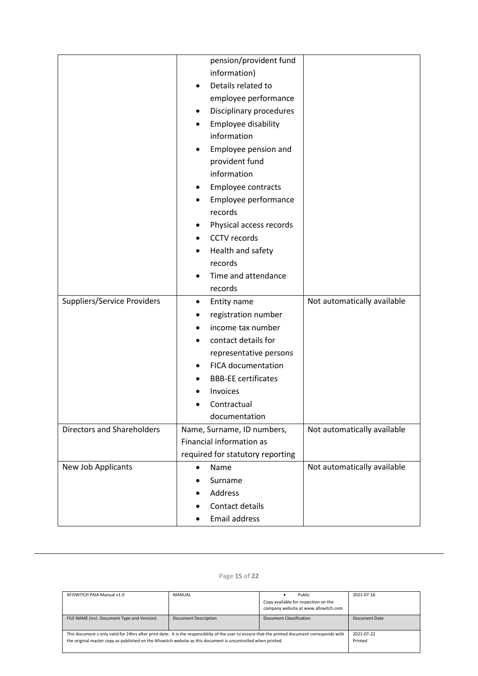|                                    | pension/provident fund<br>information)<br>Details related to<br>employee performance<br>Disciplinary procedures<br>$\bullet$<br>Employee disability<br>information<br>Employee pension and<br>provident fund         |                             |
|------------------------------------|----------------------------------------------------------------------------------------------------------------------------------------------------------------------------------------------------------------------|-----------------------------|
|                                    | information<br>Employee contracts<br>٠<br>Employee performance<br>$\bullet$                                                                                                                                          |                             |
|                                    | records<br>Physical access records                                                                                                                                                                                   |                             |
|                                    | CCTV records<br>Health and safety                                                                                                                                                                                    |                             |
|                                    | records<br>Time and attendance<br>records                                                                                                                                                                            |                             |
| <b>Suppliers/Service Providers</b> | Entity name<br>٠<br>registration number<br>income tax number<br>contact details for<br>representative persons<br><b>FICA documentation</b><br><b>BBB-EE certificates</b><br>Invoices<br>Contractual<br>documentation | Not automatically available |
| <b>Directors and Shareholders</b>  | Name, Surname, ID numbers,<br>Financial information as<br>required for statutory reporting                                                                                                                           | Not automatically available |
| New Job Applicants                 | Name<br>$\bullet$<br>Surname<br>$\bullet$<br>Address<br>Contact details<br><b>Email address</b>                                                                                                                      | Not automatically available |

# Page **15** of **22**

| AFISWITCH PAIA Manual v1.0                                                                                                                                                                                                                                        | MANUAL                      | Public<br>Copy available for inspection on the<br>company website at www.afiswitch.com | 2021-07-16            |
|-------------------------------------------------------------------------------------------------------------------------------------------------------------------------------------------------------------------------------------------------------------------|-----------------------------|----------------------------------------------------------------------------------------|-----------------------|
| FILE NAME (incl. Document Type and Version)                                                                                                                                                                                                                       | <b>Document Description</b> | Document Classification                                                                | Document Date         |
| This document s only valid for 24hrs after print date. It is the responsibility of the user to ensure that the printed document corresponds with<br>the original master copy as published on the Afiswitch website as this document is uncontrolled when printed. |                             |                                                                                        | 2021-07-22<br>Printed |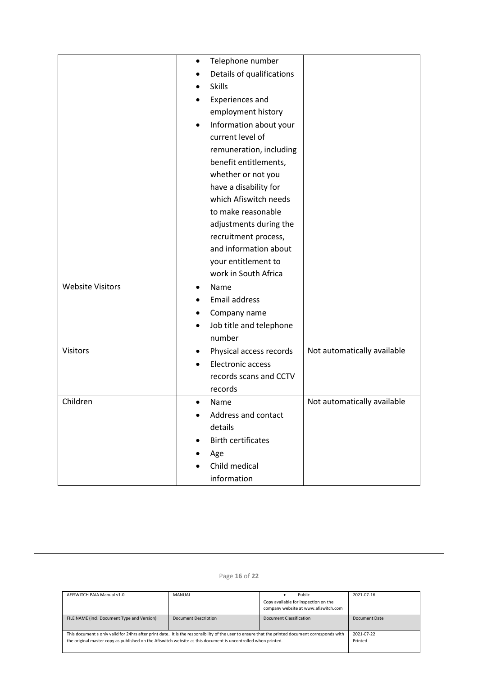|                         | Telephone number<br>$\bullet$         |                             |
|-------------------------|---------------------------------------|-----------------------------|
|                         | Details of qualifications             |                             |
|                         | <b>Skills</b>                         |                             |
|                         | <b>Experiences and</b>                |                             |
|                         | employment history                    |                             |
|                         | Information about your<br>$\bullet$   |                             |
|                         | current level of                      |                             |
|                         | remuneration, including               |                             |
|                         | benefit entitlements,                 |                             |
|                         | whether or not you                    |                             |
|                         | have a disability for                 |                             |
|                         | which Afiswitch needs                 |                             |
|                         | to make reasonable                    |                             |
|                         | adjustments during the                |                             |
|                         | recruitment process,                  |                             |
|                         | and information about                 |                             |
|                         | your entitlement to                   |                             |
|                         | work in South Africa                  |                             |
| <b>Website Visitors</b> | Name<br>$\bullet$                     |                             |
|                         | <b>Email address</b>                  |                             |
|                         | Company name                          |                             |
|                         | Job title and telephone<br>$\bullet$  |                             |
|                         | number                                |                             |
| <b>Visitors</b>         | Physical access records<br>$\bullet$  | Not automatically available |
|                         | <b>Electronic access</b><br>$\bullet$ |                             |
|                         | records scans and CCTV                |                             |
|                         | records                               |                             |
| Children                | Name<br>$\bullet$                     | Not automatically available |
|                         | Address and contact                   |                             |
|                         | details                               |                             |
|                         | <b>Birth certificates</b>             |                             |
|                         | Age                                   |                             |
|                         | Child medical                         |                             |
|                         | information                           |                             |

| Page 16 of 22 |  |  |  |
|---------------|--|--|--|
|---------------|--|--|--|

| AFISWITCH PAIA Manual v1.0                                                                                                                       | MANUAL                      | Public                               | 2021-07-16    |
|--------------------------------------------------------------------------------------------------------------------------------------------------|-----------------------------|--------------------------------------|---------------|
|                                                                                                                                                  |                             | Copy available for inspection on the |               |
|                                                                                                                                                  |                             | company website at www.afiswitch.com |               |
| FILE NAME (incl. Document Type and Version)                                                                                                      | <b>Document Description</b> | Document Classification              | Document Date |
|                                                                                                                                                  |                             |                                      |               |
| This document s only valid for 24hrs after print date. It is the responsibility of the user to ensure that the printed document corresponds with |                             |                                      | 2021-07-22    |
| the original master copy as published on the Afiswitch website as this document is uncontrolled when printed.                                    |                             |                                      | Printed       |
|                                                                                                                                                  |                             |                                      |               |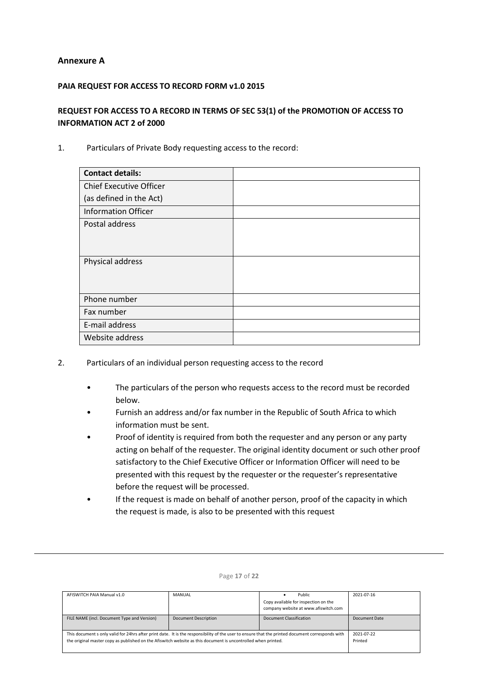## **Annexure A**

## **PAIA REQUEST FOR ACCESS TO RECORD FORM v1.0 2015**

# **REQUEST FOR ACCESS TO A RECORD IN TERMS OF SEC 53(1) of the PROMOTION OF ACCESS TO INFORMATION ACT 2 of 2000**

1. Particulars of Private Body requesting access to the record:

| <b>Contact details:</b>        |  |
|--------------------------------|--|
| <b>Chief Executive Officer</b> |  |
| (as defined in the Act)        |  |
| <b>Information Officer</b>     |  |
| Postal address                 |  |
|                                |  |
|                                |  |
| Physical address               |  |
|                                |  |
|                                |  |
| Phone number                   |  |
| Fax number                     |  |
| E-mail address                 |  |
| Website address                |  |

- 2. Particulars of an individual person requesting access to the record
	- The particulars of the person who requests access to the record must be recorded below.
	- Furnish an address and/or fax number in the Republic of South Africa to which information must be sent.
	- Proof of identity is required from both the requester and any person or any party acting on behalf of the requester. The original identity document or such other proof satisfactory to the Chief Executive Officer or Information Officer will need to be presented with this request by the requester or the requester's representative before the request will be processed.
	- If the request is made on behalf of another person, proof of the capacity in which the request is made, is also to be presented with this request

| AFISWITCH PAIA Manual v1.0                                                                                                                       | <b>MANUAL</b>               | Public                               | 2021-07-16    |
|--------------------------------------------------------------------------------------------------------------------------------------------------|-----------------------------|--------------------------------------|---------------|
|                                                                                                                                                  |                             | Copy available for inspection on the |               |
|                                                                                                                                                  |                             | company website at www.afiswitch.com |               |
| FILE NAME (incl. Document Type and Version)                                                                                                      | <b>Document Description</b> | Document Classification              | Document Date |
|                                                                                                                                                  |                             |                                      |               |
| This document s only valid for 24hrs after print date. It is the responsibility of the user to ensure that the printed document corresponds with |                             |                                      | 2021-07-22    |
| the original master copy as published on the Afiswitch website as this document is uncontrolled when printed.                                    |                             |                                      | Printed       |
|                                                                                                                                                  |                             |                                      |               |

#### Page **17** of **22**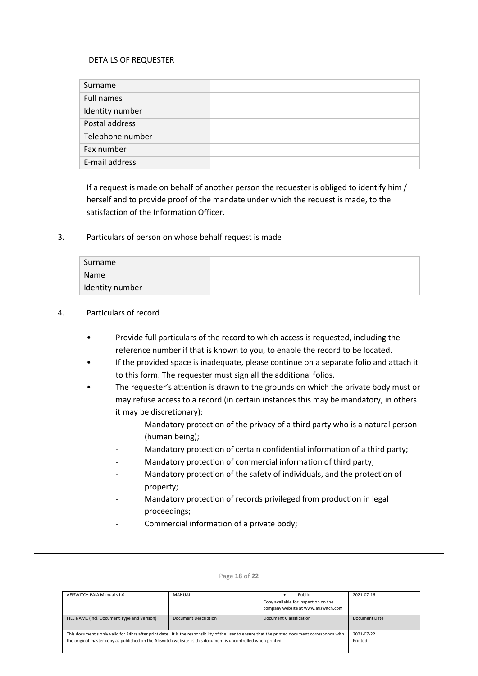## DETAILS OF REQUESTER

| Surname          |  |
|------------------|--|
| Full names       |  |
| Identity number  |  |
| Postal address   |  |
| Telephone number |  |
| Fax number       |  |
| E-mail address   |  |

If a request is made on behalf of another person the requester is obliged to identify him / herself and to provide proof of the mandate under which the request is made, to the satisfaction of the Information Officer.

### 3. Particulars of person on whose behalf request is made

| Surname         |  |
|-----------------|--|
| Name            |  |
| Identity number |  |

### 4. Particulars of record

- Provide full particulars of the record to which access is requested, including the reference number if that is known to you, to enable the record to be located.
- If the provided space is inadequate, please continue on a separate folio and attach it to this form. The requester must sign all the additional folios.
- The requester's attention is drawn to the grounds on which the private body must or may refuse access to a record (in certain instances this may be mandatory, in others it may be discretionary):
	- Mandatory protection of the privacy of a third party who is a natural person (human being);
	- Mandatory protection of certain confidential information of a third party;
	- Mandatory protection of commercial information of third party;
	- Mandatory protection of the safety of individuals, and the protection of property;
	- Mandatory protection of records privileged from production in legal proceedings;
	- Commercial information of a private body;

| AFISWITCH PAIA Manual v1.0                                                                                                                       | <b>MANUAL</b>               | Public                               | 2021-07-16    |
|--------------------------------------------------------------------------------------------------------------------------------------------------|-----------------------------|--------------------------------------|---------------|
|                                                                                                                                                  |                             | Copy available for inspection on the |               |
|                                                                                                                                                  |                             | company website at www.afiswitch.com |               |
| FILE NAME (incl. Document Type and Version)                                                                                                      | <b>Document Description</b> | Document Classification              | Document Date |
|                                                                                                                                                  |                             |                                      |               |
| This document s only valid for 24hrs after print date. It is the responsibility of the user to ensure that the printed document corresponds with |                             |                                      | 2021-07-22    |
| the original master copy as published on the Afiswitch website as this document is uncontrolled when printed.                                    |                             |                                      | Printed       |
|                                                                                                                                                  |                             |                                      |               |

#### Page **18** of **22**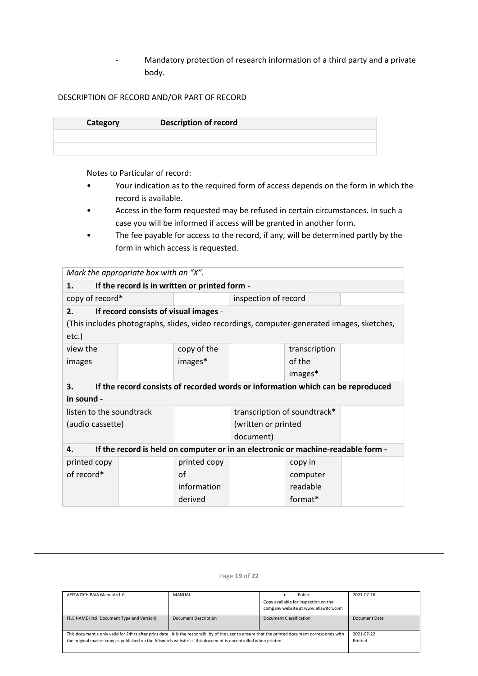- Mandatory protection of research information of a third party and a private body.

## DESCRIPTION OF RECORD AND/OR PART OF RECORD

| Category | <b>Description of record</b> |
|----------|------------------------------|
|          |                              |
|          |                              |

Notes to Particular of record:

- Your indication as to the required form of access depends on the form in which the record is available.
- Access in the form requested may be refused in certain circumstances. In such a case you will be informed if access will be granted in another form.
- The fee payable for access to the record, if any, will be determined partly by the form in which access is requested.

|                                                                                        | Mark the appropriate box with an "X".         |              |                              |               |                                                                                            |  |
|----------------------------------------------------------------------------------------|-----------------------------------------------|--------------|------------------------------|---------------|--------------------------------------------------------------------------------------------|--|
| 1.                                                                                     | If the record is in written or printed form - |              |                              |               |                                                                                            |  |
| copy of record*                                                                        |                                               |              | inspection of record         |               |                                                                                            |  |
| 2.                                                                                     | If record consists of visual images -         |              |                              |               |                                                                                            |  |
|                                                                                        |                                               |              |                              |               | (This includes photographs, slides, video recordings, computer-generated images, sketches, |  |
| $etc.$ )                                                                               |                                               |              |                              |               |                                                                                            |  |
| view the                                                                               |                                               | copy of the  |                              | transcription |                                                                                            |  |
| images                                                                                 |                                               | images*      |                              | of the        |                                                                                            |  |
|                                                                                        |                                               | images*      |                              |               |                                                                                            |  |
| If the record consists of recorded words or information which can be reproduced<br>3.  |                                               |              |                              |               |                                                                                            |  |
| in sound -                                                                             |                                               |              |                              |               |                                                                                            |  |
| listen to the soundtrack                                                               |                                               |              | transcription of soundtrack* |               |                                                                                            |  |
| (audio cassette)                                                                       |                                               |              | (written or printed          |               |                                                                                            |  |
|                                                                                        |                                               |              | document)                    |               |                                                                                            |  |
| If the record is held on computer or in an electronic or machine-readable form -<br>4. |                                               |              |                              |               |                                                                                            |  |
| printed copy                                                                           |                                               | printed copy |                              | copy in       |                                                                                            |  |
| of record*                                                                             |                                               | οf           |                              | computer      |                                                                                            |  |
|                                                                                        |                                               | information  |                              | readable      |                                                                                            |  |
| format*<br>derived                                                                     |                                               |              |                              |               |                                                                                            |  |

| AFISWITCH PAIA Manual v1.0                                                                                                                                                                                                                                        | MANUAL                      | Public<br>Copy available for inspection on the<br>company website at www.afiswitch.com | 2021-07-16            |
|-------------------------------------------------------------------------------------------------------------------------------------------------------------------------------------------------------------------------------------------------------------------|-----------------------------|----------------------------------------------------------------------------------------|-----------------------|
| FILE NAME (incl. Document Type and Version)                                                                                                                                                                                                                       | <b>Document Description</b> | Document Classification                                                                | Document Date         |
| This document s only valid for 24hrs after print date. It is the responsibility of the user to ensure that the printed document corresponds with<br>the original master copy as published on the Afiswitch website as this document is uncontrolled when printed. |                             |                                                                                        | 2021-07-22<br>Printed |

#### Page **19** of **22**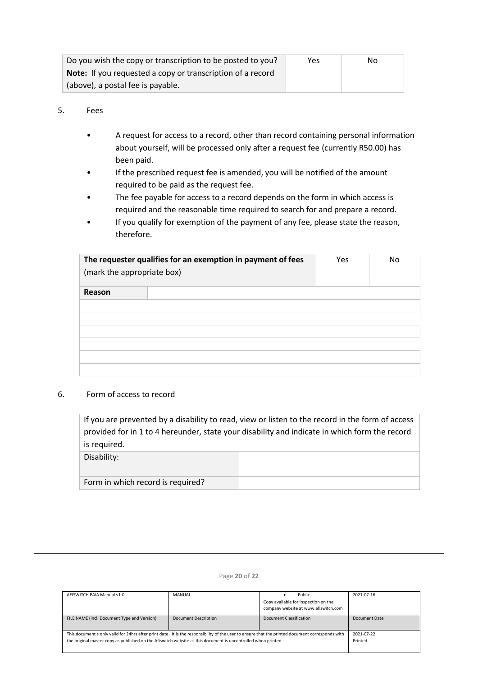| Do you wish the copy or transcription to be posted to you?        | Yes | No |
|-------------------------------------------------------------------|-----|----|
| <b>Note:</b> If you requested a copy or transcription of a record |     |    |
| (above), a postal fee is payable.                                 |     |    |

## 5. Fees

- A request for access to a record, other than record containing personal information about yourself, will be processed only after a request fee (currently R50.00) has been paid.
- If the prescribed request fee is amended, you will be notified of the amount required to be paid as the request fee.
- The fee payable for access to a record depends on the form in which access is required and the reasonable time required to search for and prepare a record.
- If you qualify for exemption of the payment of any fee, please state the reason, therefore.

| (mark the appropriate box) | The requester qualifies for an exemption in payment of fees | Yes | No |
|----------------------------|-------------------------------------------------------------|-----|----|
| Reason                     |                                                             |     |    |
|                            |                                                             |     |    |
|                            |                                                             |     |    |
|                            |                                                             |     |    |
|                            |                                                             |     |    |
|                            |                                                             |     |    |
|                            |                                                             |     |    |

### 6. Form of access to record

If you are prevented by a disability to read, view or listen to the record in the form of access provided for in 1 to 4 hereunder, state your disability and indicate in which form the record is required.

| Disability:                       |  |
|-----------------------------------|--|
| Form in which record is required? |  |

| AFISWITCH PAIA Manual v1.0                                                                                                                                                                                                                                        | <b>MANUAL</b>         | Public                                                                       | 2021-07-16    |
|-------------------------------------------------------------------------------------------------------------------------------------------------------------------------------------------------------------------------------------------------------------------|-----------------------|------------------------------------------------------------------------------|---------------|
|                                                                                                                                                                                                                                                                   |                       | Copy available for inspection on the<br>company website at www.afiswitch.com |               |
| FILE NAME (incl. Document Type and Version)                                                                                                                                                                                                                       | Document Description  | Document Classification                                                      | Document Date |
| This document s only valid for 24hrs after print date. It is the responsibility of the user to ensure that the printed document corresponds with<br>the original master copy as published on the Afiswitch website as this document is uncontrolled when printed. | 2021-07-22<br>Printed |                                                                              |               |

#### Page **20** of **22**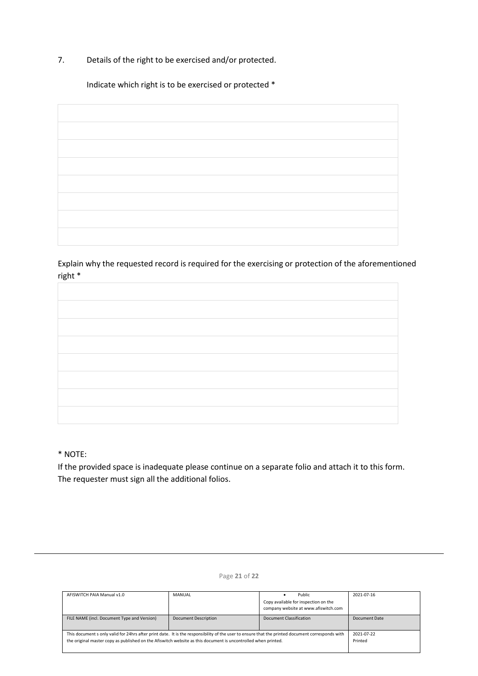7. Details of the right to be exercised and/or protected.

Indicate which right is to be exercised or protected \*

Explain why the requested record is required for the exercising or protection of the aforementioned right \*

\* NOTE:

If the provided space is inadequate please continue on a separate folio and attach it to this form. The requester must sign all the additional folios.

| AFISWITCH PAIA Manual v1.0                                                                                                                       | <b>MANUAL</b>               | Public                               | 2021-07-16    |
|--------------------------------------------------------------------------------------------------------------------------------------------------|-----------------------------|--------------------------------------|---------------|
|                                                                                                                                                  |                             | Copy available for inspection on the |               |
|                                                                                                                                                  |                             | company website at www.afiswitch.com |               |
| FILE NAME (incl. Document Type and Version)                                                                                                      | <b>Document Description</b> | Document Classification              | Document Date |
|                                                                                                                                                  |                             |                                      |               |
| This document s only valid for 24hrs after print date. It is the responsibility of the user to ensure that the printed document corresponds with |                             |                                      | 2021-07-22    |
| the original master copy as published on the Afiswitch website as this document is uncontrolled when printed.                                    |                             |                                      | Printed       |
|                                                                                                                                                  |                             |                                      |               |

### Page **21** of **22**